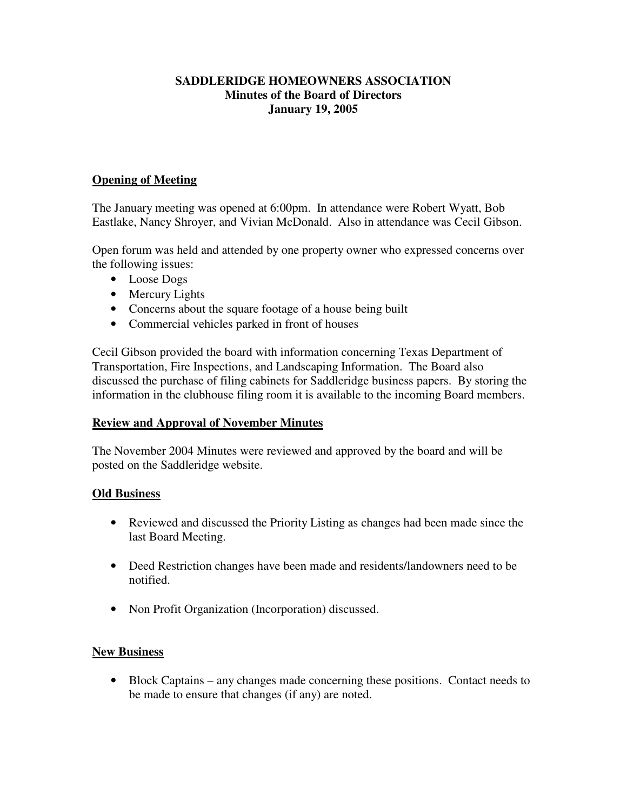## **SADDLERIDGE HOMEOWNERS ASSOCIATION Minutes of the Board of Directors January 19, 2005**

## **Opening of Meeting**

The January meeting was opened at 6:00pm. In attendance were Robert Wyatt, Bob Eastlake, Nancy Shroyer, and Vivian McDonald. Also in attendance was Cecil Gibson.

Open forum was held and attended by one property owner who expressed concerns over the following issues:

- Loose Dogs
- Mercury Lights
- Concerns about the square footage of a house being built
- Commercial vehicles parked in front of houses

Cecil Gibson provided the board with information concerning Texas Department of Transportation, Fire Inspections, and Landscaping Information. The Board also discussed the purchase of filing cabinets for Saddleridge business papers. By storing the information in the clubhouse filing room it is available to the incoming Board members.

#### **Review and Approval of November Minutes**

The November 2004 Minutes were reviewed and approved by the board and will be posted on the Saddleridge website.

#### **Old Business**

- Reviewed and discussed the Priority Listing as changes had been made since the last Board Meeting.
- Deed Restriction changes have been made and residents/landowners need to be notified.
- Non Profit Organization (Incorporation) discussed.

## **New Business**

• Block Captains – any changes made concerning these positions. Contact needs to be made to ensure that changes (if any) are noted.